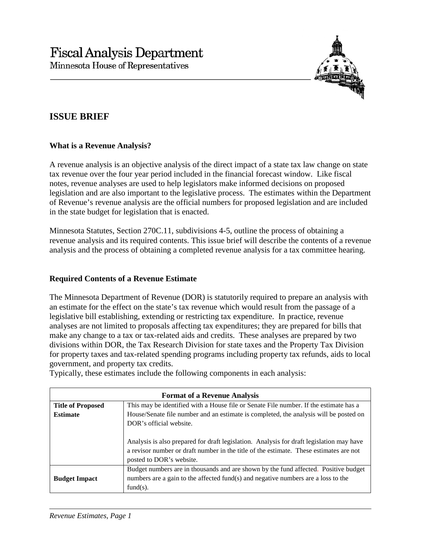

# **ISSUE BRIEF**

## **What is a Revenue Analysis?**

A revenue analysis is an objective analysis of the direct impact of a state tax law change on state tax revenue over the four year period included in the financial forecast window. Like fiscal notes, revenue analyses are used to help legislators make informed decisions on proposed legislation and are also important to the legislative process. The estimates within the Department of Revenue's revenue analysis are the official numbers for proposed legislation and are included in the state budget for legislation that is enacted.

Minnesota Statutes, Section 270C.11, subdivisions 4-5, outline the process of obtaining a revenue analysis and its required contents. This issue brief will describe the contents of a revenue analysis and the process of obtaining a completed revenue analysis for a tax committee hearing.

### **Required Contents of a Revenue Estimate**

The Minnesota Department of Revenue (DOR) is statutorily required to prepare an analysis with an estimate for the effect on the state's tax revenue which would result from the passage of a legislative bill establishing, extending or restricting tax expenditure. In practice, revenue analyses are not limited to proposals affecting tax expenditures; they are prepared for bills that make any change to a tax or tax-related aids and credits. These analyses are prepared by two divisions within DOR, the Tax Research Division for state taxes and the Property Tax Division for property taxes and tax-related spending programs including property tax refunds, aids to local government, and property tax credits.

Typically, these estimates include the following components in each analysis:

| <b>Format of a Revenue Analysis</b> |                                                                                                                                                                                                                |
|-------------------------------------|----------------------------------------------------------------------------------------------------------------------------------------------------------------------------------------------------------------|
| <b>Title of Proposed</b>            | This may be identified with a House file or Senate File number. If the estimate has a                                                                                                                          |
| <b>Estimate</b>                     | House/Senate file number and an estimate is completed, the analysis will be posted on                                                                                                                          |
|                                     | DOR's official website.                                                                                                                                                                                        |
|                                     | Analysis is also prepared for draft legislation. Analysis for draft legislation may have<br>a revisor number or draft number in the title of the estimate. These estimates are not<br>posted to DOR's website. |
| <b>Budget Impact</b>                | Budget numbers are in thousands and are shown by the fund affected. Positive budget<br>numbers are a gain to the affected fund(s) and negative numbers are a loss to the<br>$fund(s)$ .                        |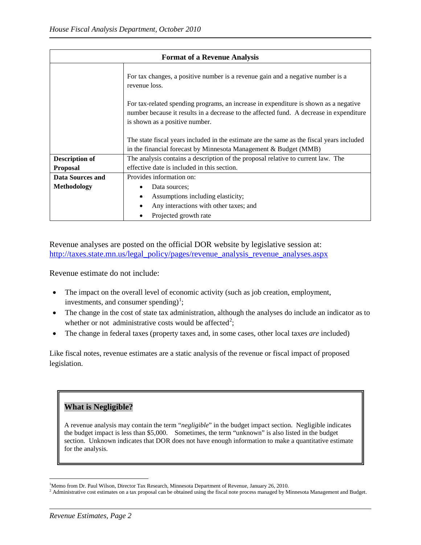| <b>Format of a Revenue Analysis</b> |                                                                                                                                                                                                                   |
|-------------------------------------|-------------------------------------------------------------------------------------------------------------------------------------------------------------------------------------------------------------------|
|                                     | For tax changes, a positive number is a revenue gain and a negative number is a<br>revenue loss.                                                                                                                  |
|                                     | For tax-related spending programs, an increase in expenditure is shown as a negative<br>number because it results in a decrease to the affected fund. A decrease in expenditure<br>is shown as a positive number. |
|                                     | The state fiscal years included in the estimate are the same as the fiscal years included<br>in the financial forecast by Minnesota Management & Budget (MMB)                                                     |
| <b>Description of</b>               | The analysis contains a description of the proposal relative to current law. The                                                                                                                                  |
| <b>Proposal</b>                     | effective date is included in this section.                                                                                                                                                                       |
| <b>Data Sources and</b>             | Provides information on:                                                                                                                                                                                          |
| <b>Methodology</b>                  | Data sources:                                                                                                                                                                                                     |
|                                     | Assumptions including elasticity;<br>$\bullet$                                                                                                                                                                    |
|                                     | Any interactions with other taxes; and                                                                                                                                                                            |
|                                     | Projected growth rate                                                                                                                                                                                             |

Revenue analyses are posted on the official DOR website by legislative session at: [http://taxes.state.mn.us/legal\\_policy/pages/revenue\\_analysis\\_revenue\\_analyses.aspx](http://taxes.state.mn.us/legal_policy/pages/revenue_analysis_revenue_analyses.aspx)

Revenue estimate do not include:

- The impact on the overall level of economic activity (such as job creation, employment, investments, and consumer spending)<sup>[1](#page-1-0)</sup>;
- The change in the cost of state tax administration, although the analyses do include an indicator as to whether or not administrative costs would be affected<sup>[2](#page-1-1)</sup>;
- The change in federal taxes (property taxes and, in some cases, other local taxes *are* included)

Like fiscal notes, revenue estimates are a static analysis of the revenue or fiscal impact of proposed legislation.

## **What is Negligible?**

A revenue analysis may contain the term "*negligible*" in the budget impact section. Negligible indicates the budget impact is less than \$5,000. Sometimes, the term "unknown" is also listed in the budget section. Unknown indicates that DOR does not have enough information to make a quantitative estimate for the analysis.

 $\frac{1}{1}$ 

<span id="page-1-1"></span><span id="page-1-0"></span><sup>&</sup>lt;sup>1</sup>Memo from Dr. Paul Wilson, Director Tax Research, Minnesota Department of Revenue, January 26, 2010.<br><sup>2</sup> Administrative cost estimates on a tax proposal can be obtained using the fiscal note process managed by Minnesota